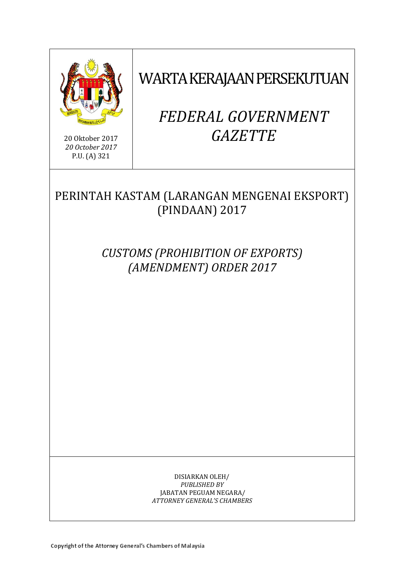

20 Oktober 2017 *20 October 2017* P.U. (A) 321

WARTA KERAJAAN PERSEKUTUAN

# *FEDERAL GOVERNMENT GAZETTE*

# PERINTAH KASTAM (LARANGAN MENGENAI EKSPORT) (PINDAAN) 2017

*CUSTOMS (PROHIBITION OF EXPORTS) (AMENDMENT) ORDER 2017*

> DISIARKAN OLEH/ *PUBLISHED BY* JABATAN PEGUAM NEGARA/ *ATTORNEY GENERAL'S CHAMBERS*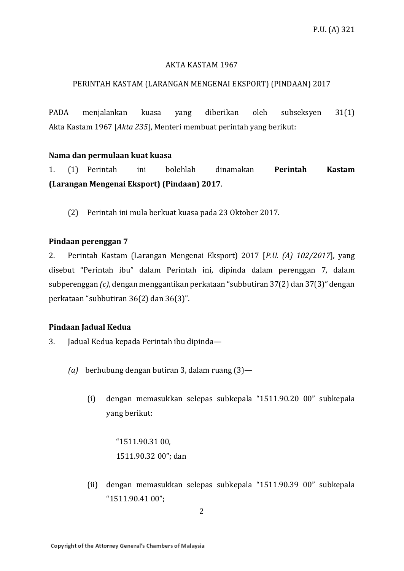# AKTA KASTAM 1967

# PERINTAH KASTAM (LARANGAN MENGENAI EKSPORT) (PINDAAN) 2017

PADA menjalankan kuasa yang diberikan oleh subseksyen 31(1) Akta Kastam 1967 [*Akta 235*], Menteri membuat perintah yang berikut:

# **Nama dan permulaan kuat kuasa**

1. (1) Perintah ini bolehlah dinamakan **Perintah Kastam (Larangan Mengenai Eksport) (Pindaan) 2017**.

(2) Perintah ini mula berkuat kuasa pada 23 Oktober 2017.

# **Pindaan perenggan 7**

2. Perintah Kastam (Larangan Mengenai Eksport) 2017 [*P.U. (A) 102/2017*], yang disebut "Perintah ibu" dalam Perintah ini, dipinda dalam perenggan 7, dalam subperenggan *(c)*, dengan menggantikan perkataan "subbutiran 37(2) dan 37(3)" dengan perkataan "subbutiran 36(2) dan 36(3)".

# **Pindaan Jadual Kedua**

- 3. Jadual Kedua kepada Perintah ibu dipinda—
	- *(a)* berhubung dengan butiran 3, dalam ruang (3)—
		- (i) dengan memasukkan selepas subkepala "1511.90.20 00" subkepala yang berikut:

"1511.90.31 00, 1511.90.32 00"; dan

(ii) dengan memasukkan selepas subkepala "1511.90.39 00" subkepala "1511.90.41 00";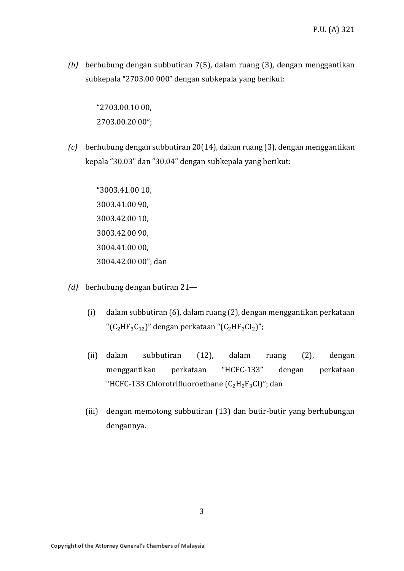*(b)* berhubung dengan subbutiran 7(5), dalam ruang (3), dengan menggantikan subkepala "2703.00 000" dengan subkepala yang berikut:

> "2703.00.10 00, 2703.00.20 00";

*(c)* berhubung dengan subbutiran 20(14), dalam ruang (3), dengan menggantikan kepala "30.03" dan "30.04" dengan subkepala yang berikut:

> "3003.41.00 10, 3003.41.00 90, 3003.42.00 10, 3003.42.00 90, 3004.41.00 00, 3004.42.00 00"; dan

- *(d)* berhubung dengan butiran 21—
	- (i) dalam subbutiran (6), dalam ruang (2), dengan menggantikan perkataan " $(C_2HF_3C_{12})$ " dengan perkataan " $(C_2HF_3Cl_2)$ ";
	- (ii) dalam subbutiran (12), dalam ruang (2), dengan menggantikan perkataan "HCFC-133" dengan perkataan "HCFC-133 Chlorotrifluoroethane  $(C_2H_2F_3CI)$ "; dan
	- (iii) dengan memotong subbutiran (13) dan butir-butir yang berhubungan dengannya.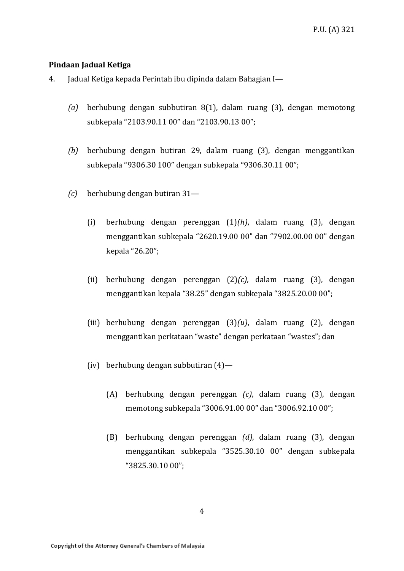# **Pindaan Jadual Ketiga**

- 4. Jadual Ketiga kepada Perintah ibu dipinda dalam Bahagian I—
	- *(a)* berhubung dengan subbutiran 8(1), dalam ruang (3), dengan memotong subkepala "2103.90.11 00" dan "2103.90.13 00";
	- *(b)* berhubung dengan butiran 29, dalam ruang (3), dengan menggantikan subkepala "9306.30 100" dengan subkepala "9306.30.11 00";
	- *(c)* berhubung dengan butiran 31—
		- (i) berhubung dengan perenggan (1)*(h)*, dalam ruang (3), dengan menggantikan subkepala "2620.19.00 00" dan "7902.00.00 00" dengan kepala "26.20";
		- (ii) berhubung dengan perenggan (2)*(c)*, dalam ruang (3), dengan menggantikan kepala "38.25" dengan subkepala "3825.20.00 00";
		- (iii) berhubung dengan perenggan (3)*(u)*, dalam ruang (2), dengan menggantikan perkataan "waste" dengan perkataan "wastes"; dan
		- (iv) berhubung dengan subbutiran (4)—
			- (A) berhubung dengan perenggan *(c)*, dalam ruang (3), dengan memotong subkepala "3006.91.00 00" dan "3006.92.10 00";
			- (B) berhubung dengan perenggan *(d)*, dalam ruang (3), dengan menggantikan subkepala "3525.30.10 00" dengan subkepala "3825.30.10 00";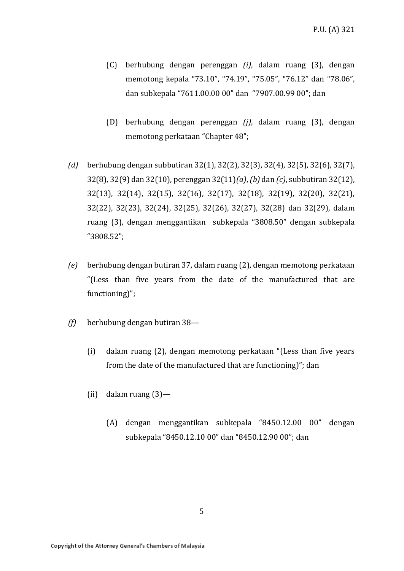- (C) berhubung dengan perenggan *(i)*, dalam ruang (3), dengan memotong kepala "73.10", "74.19", "75.05", "76.12" dan "78.06", dan subkepala "7611.00.00 00" dan "7907.00.99 00"; dan
- (D) berhubung dengan perenggan *(j)*, dalam ruang (3), dengan memotong perkataan "Chapter 48";
- *(d)* berhubung dengan subbutiran 32(1), 32(2), 32(3), 32(4), 32(5), 32(6), 32(7), 32(8), 32(9) dan 32(10), perenggan 32(11)*(a)*, *(b)* dan *(c)*, subbutiran 32(12), 32(13), 32(14), 32(15), 32(16), 32(17), 32(18), 32(19), 32(20), 32(21), 32(22), 32(23), 32(24), 32(25), 32(26), 32(27), 32(28) dan 32(29), dalam ruang (3), dengan menggantikan subkepala "3808.50" dengan subkepala "3808.52";
- *(e)* berhubung dengan butiran 37, dalam ruang (2), dengan memotong perkataan "(Less than five years from the date of the manufactured that are functioning)";
- *(f)* berhubung dengan butiran 38—
	- (i) dalam ruang (2), dengan memotong perkataan "(Less than five years from the date of the manufactured that are functioning)"; dan
	- (ii) dalam ruang (3)—
		- (A) dengan menggantikan subkepala "8450.12.00 00" dengan subkepala "8450.12.10 00" dan "8450.12.90 00"; dan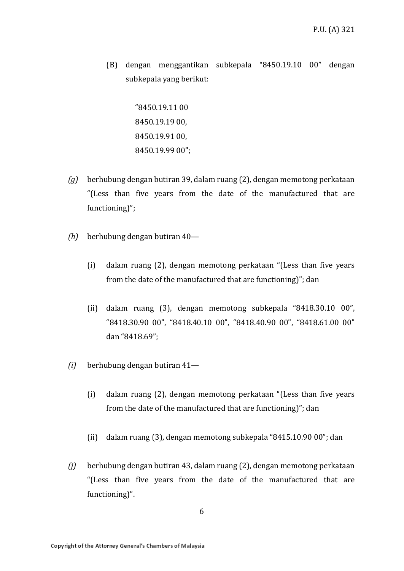(B) dengan menggantikan subkepala "8450.19.10 00" dengan subkepala yang berikut:

> "8450.19.11 00 8450.19.19 00, 8450.19.91 00, 8450.19.99 00";

- *(g)* berhubung dengan butiran 39, dalam ruang (2), dengan memotong perkataan "(Less than five years from the date of the manufactured that are functioning)";
- *(h)* berhubung dengan butiran 40—
	- (i) dalam ruang (2), dengan memotong perkataan "(Less than five years from the date of the manufactured that are functioning)"; dan
	- (ii) dalam ruang (3), dengan memotong subkepala "8418.30.10 00", "8418.30.90 00", "8418.40.10 00", "8418.40.90 00", "8418.61.00 00" dan "8418.69";
- *(i)* berhubung dengan butiran 41—
	- (i) dalam ruang (2), dengan memotong perkataan "(Less than five years from the date of the manufactured that are functioning)"; dan
	- (ii) dalam ruang (3), dengan memotong subkepala "8415.10.90 00"; dan
- *(j)* berhubung dengan butiran 43, dalam ruang (2), dengan memotong perkataan "(Less than five years from the date of the manufactured that are functioning)".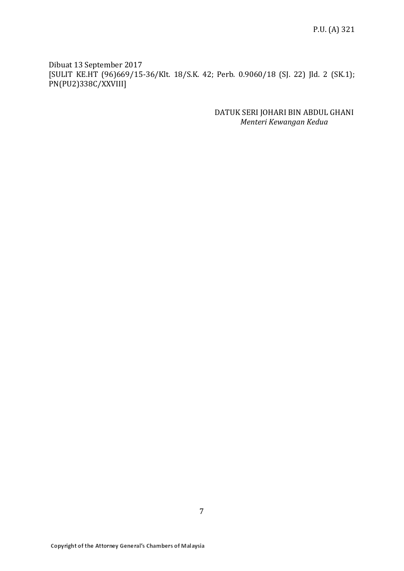Dibuat 13 September 2017 [SULIT KE.HT (96)669/15-36/Klt. 18/S.K. 42; Perb. 0.9060/18 (SJ. 22) Jld. 2 (SK.1); PN(PU2)338C/XXVIII]

> DATUK SERI JOHARI BIN ABDUL GHANI *Menteri Kewangan Kedua*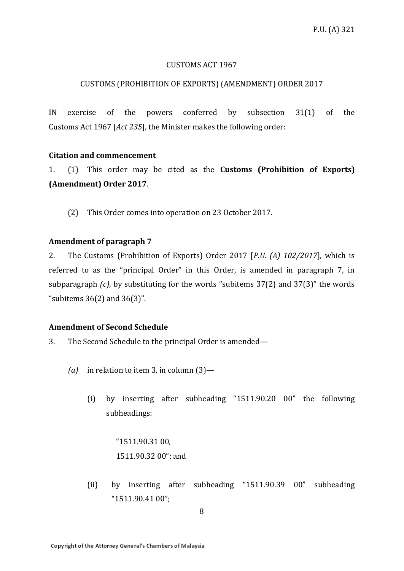#### CUSTOMS ACT 1967

#### CUSTOMS (PROHIBITION OF EXPORTS) (AMENDMENT) ORDER 2017

IN exercise of the powers conferred by subsection 31(1) of the Customs Act 1967 [*Act 235*], the Minister makes the following order:

#### **Citation and commencement**

1. (1) This order may be cited as the **Customs (Prohibition of Exports) (Amendment) Order 2017**.

(2) This Order comes into operation on 23 October 2017.

#### **Amendment of paragraph 7**

2. The Customs (Prohibition of Exports) Order 2017 [*P.U. (A) 102/2017*], which is referred to as the "principal Order" in this Order, is amended in paragraph 7, in subparagraph *(c)*, by substituting for the words "subitems 37(2) and 37(3)" the words "subitems 36(2) and 36(3)".

#### **Amendment of Second Schedule**

- 3. The Second Schedule to the principal Order is amended—
	- *(a)* in relation to item 3, in column (3)—
		- (i) by inserting after subheading "1511.90.20 00" the following subheadings:

"1511.90.31 00, 1511.90.32 00"; and

(ii) by inserting after subheading "1511.90.39 00" subheading "1511.90.41 00";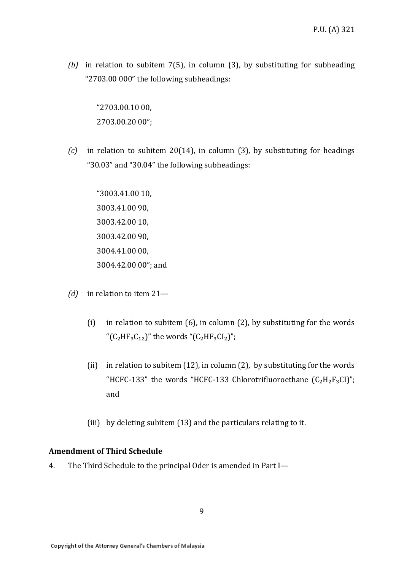*(b)* in relation to subitem 7(5), in column (3), by substituting for subheading "2703.00 000" the following subheadings:

"2703.00.10 00, 2703.00.20 00";

*(c)* in relation to subitem 20(14), in column (3), by substituting for headings "30.03" and "30.04" the following subheadings:

> "3003.41.00 10, 3003.41.00 90, 3003.42.00 10, 3003.42.00 90, 3004.41.00 00, 3004.42.00 00"; and

- *(d)* in relation to item 21—
	- (i) in relation to subitem (6), in column (2), by substituting for the words " $(C_2HF_3C_{12})$ " the words " $(C_2HF_3Cl_2)$ ";
	- (ii) in relation to subitem (12), in column (2), by substituting for the words "HCFC-133" the words "HCFC-133 Chlorotrifluoroethane  $(C_2H_2F_3CI)$ "; and
	- (iii) by deleting subitem (13) and the particulars relating to it.

#### **Amendment of Third Schedule**

4. The Third Schedule to the principal Oder is amended in Part I—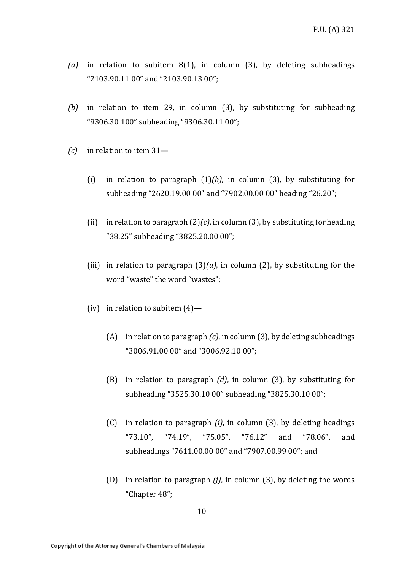- *(a)* in relation to subitem 8(1), in column (3), by deleting subheadings "2103.90.11 00" and "2103.90.13 00";
- *(b)* in relation to item 29, in column (3), by substituting for subheading "9306.30 100" subheading "9306.30.11 00";
- *(c)* in relation to item 31—
	- (i) in relation to paragraph (1)*(h)*, in column (3), by substituting for subheading "2620.19.00 00" and "7902.00.00 00" heading "26.20";
	- (ii) in relation to paragraph (2)*(c)*, in column (3), by substituting for heading "38.25" subheading "3825.20.00 00";
	- (iii) in relation to paragraph  $(3)(u)$ , in column  $(2)$ , by substituting for the word "waste" the word "wastes";
	- (iv) in relation to subitem  $(4)$ 
		- (A) in relation to paragraph *(c)*, in column (3), by deleting subheadings "3006.91.00 00" and "3006.92.10 00";
		- (B) in relation to paragraph *(d)*, in column (3), by substituting for subheading "3525.30.10 00" subheading "3825.30.10 00";
		- (C) in relation to paragraph *(i)*, in column (3), by deleting headings "73.10", "74.19", "75.05", "76.12" and "78.06", and subheadings "7611.00.00 00" and "7907.00.99 00"; and
		- (D) in relation to paragraph *(j)*, in column (3), by deleting the words "Chapter 48";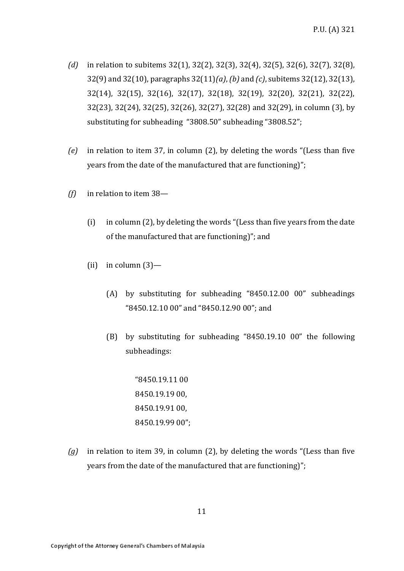- *(d)* in relation to subitems 32(1), 32(2), 32(3), 32(4), 32(5), 32(6), 32(7), 32(8), 32(9) and 32(10), paragraphs 32(11)*(a)*, *(b)* and *(c)*, subitems 32(12), 32(13), 32(14), 32(15), 32(16), 32(17), 32(18), 32(19), 32(20), 32(21), 32(22), 32(23), 32(24), 32(25), 32(26), 32(27), 32(28) and 32(29), in column (3), by substituting for subheading "3808.50" subheading "3808.52";
- *(e)* in relation to item 37, in column (2), by deleting the words "(Less than five years from the date of the manufactured that are functioning)";
- *(f)* in relation to item 38—
	- (i) in column (2), by deleting the words "(Less than five years from the date of the manufactured that are functioning)"; and
	- (ii) in column  $(3)$ 
		- (A) by substituting for subheading "8450.12.00 00" subheadings "8450.12.10 00" and "8450.12.90 00"; and
		- (B) by substituting for subheading "8450.19.10 00" the following subheadings:

"8450.19.11 00 8450.19.19 00, 8450.19.91 00, 8450.19.99 00";

*(g)* in relation to item 39, in column (2), by deleting the words "(Less than five years from the date of the manufactured that are functioning)";